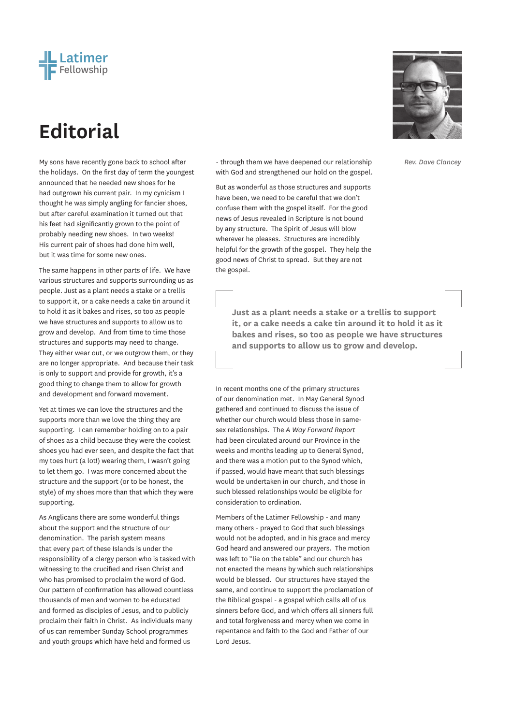

## **Editorial**

the holidays. On the first day of term the youngest announced that he needed new shoes for he had outgrown his current pair. In my cynicism I thought he was simply angling for fancier shoes, but after careful examination it turned out that his feet had significantly grown to the point of probably needing new shoes. In two weeks! His current pair of shoes had done him well, but it was time for some new ones.

The same happens in other parts of life. We have various structures and supports surrounding us as people. Just as a plant needs a stake or a trellis to support it, or a cake needs a cake tin around it to hold it as it bakes and rises, so too as people we have structures and supports to allow us to grow and develop. And from time to time those structures and supports may need to change. They either wear out, or we outgrow them, or they are no longer appropriate. And because their task is only to support and provide for growth, it's a good thing to change them to allow for growth and development and forward movement.

Yet at times we can love the structures and the supports more than we love the thing they are supporting. I can remember holding on to a pair of shoes as a child because they were the coolest shoes you had ever seen, and despite the fact that my toes hurt (a lot!) wearing them, I wasn't going to let them go. I was more concerned about the structure and the support (or to be honest, the style) of my shoes more than that which they were supporting.

As Anglicans there are some wonderful things about the support and the structure of our denomination. The parish system means that every part of these Islands is under the responsibility of a clergy person who is tasked with witnessing to the crucified and risen Christ and who has promised to proclaim the word of God. Our pattern of confirmation has allowed countless thousands of men and women to be educated and formed as disciples of Jesus, and to publicly proclaim their faith in Christ. As individuals many of us can remember Sunday School programmes and youth groups which have held and formed us

My sons have recently gone back to school after **Repreent on the state to ave a state to the fack** of the mode of with God and strengthened our hold on the gospel.

> But as wonderful as those structures and supports have been, we need to be careful that we don't confuse them with the gospel itself. For the good news of Jesus revealed in Scripture is not bound by any structure. The Spirit of Jesus will blow wherever he pleases. Structures are incredibly helpful for the growth of the gospel. They help the good news of Christ to spread. But they are not the gospel.

> > **Just as a plant needs a stake or a trellis to support it, or a cake needs a cake tin around it to hold it as it bakes and rises, so too as people we have structures and supports to allow us to grow and develop.**

In recent months one of the primary structures of our denomination met. In May General Synod gathered and continued to discuss the issue of whether our church would bless those in samesex relationships. The *A Way Forward Report* had been circulated around our Province in the weeks and months leading up to General Synod, and there was a motion put to the Synod which, if passed, would have meant that such blessings would be undertaken in our church, and those in such blessed relationships would be eligible for consideration to ordination.

Members of the Latimer Fellowship - and many many others - prayed to God that such blessings would not be adopted, and in his grace and mercy God heard and answered our prayers. The motion was left to "lie on the table" and our church has not enacted the means by which such relationships would be blessed. Our structures have stayed the same, and continue to support the proclamation of the Biblical gospel - a gospel which calls all of us sinners before God, and which offers all sinners full and total forgiveness and mercy when we come in repentance and faith to the God and Father of our Lord Jesus.